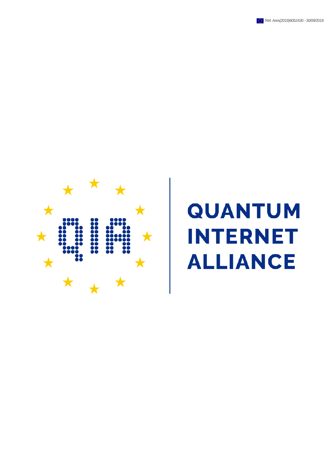



# **QUANTUM INTERNET ALLIANCE**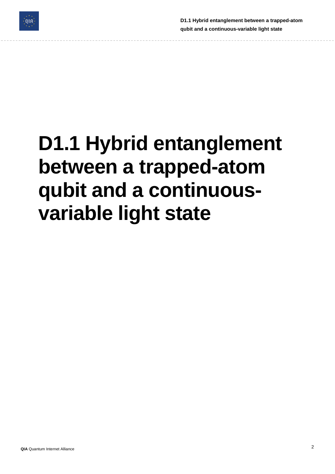

**D1.1 Hybrid entanglement between a trapped-atom qubit and a continuous-variable light state**

# **D1.1 Hybrid entanglement between a trapped-atom qubit and a continuousvariable light state**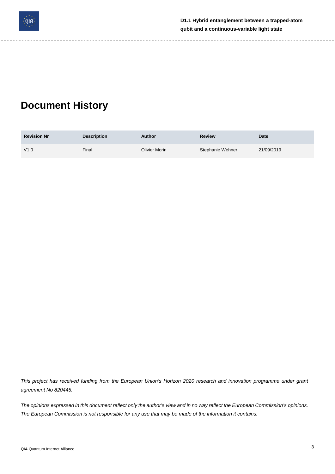

## **Document History**

| <b>Revision Nr</b> | <b>Description</b> | Author        | <b>Review</b>    | Date       |
|--------------------|--------------------|---------------|------------------|------------|
| V1.0               | Final              | Olivier Morin | Stephanie Wehner | 21/09/2019 |

This project has received funding from the European Union's Horizon 2020 research and innovation programme under grant *agreement No 820445.*

The opinions expressed in this document reflect only the author's view and in no way reflect the European Commission's opinions. The European Commission is not responsible for any use that may be made of the information it contains.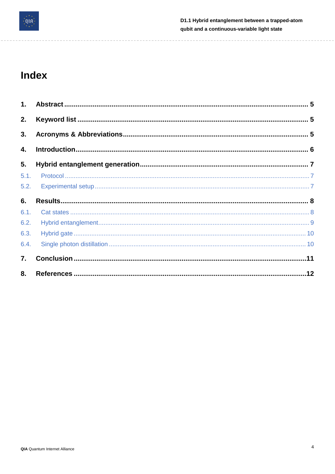

-------------------

## Index

| 1.   |  |
|------|--|
| 2.   |  |
| 3.   |  |
| 4.   |  |
| 5.   |  |
| 5.1. |  |
| 5.2. |  |
| 6.   |  |
| 6.1. |  |
| 6.2. |  |
| 6.3. |  |
| 6.4. |  |
| 7.   |  |
| 8.   |  |

 $\frac{1}{2} \frac{1}{2} \frac{1}{2} \frac{1}{2} \frac{1}{2} \frac{1}{2} \frac{1}{2} \frac{1}{2} \frac{1}{2} \frac{1}{2} \frac{1}{2} \frac{1}{2} \frac{1}{2} \frac{1}{2} \frac{1}{2} \frac{1}{2} \frac{1}{2} \frac{1}{2} \frac{1}{2} \frac{1}{2} \frac{1}{2} \frac{1}{2} \frac{1}{2} \frac{1}{2} \frac{1}{2} \frac{1}{2} \frac{1}{2} \frac{1}{2} \frac{1}{2} \frac{1}{2} \frac{1}{2} \frac{$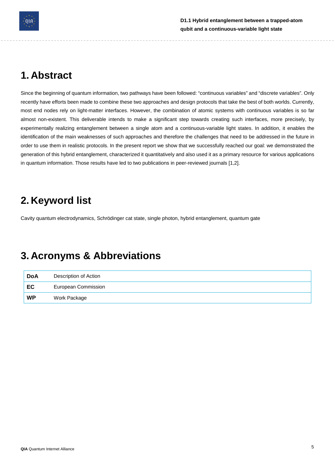

## <span id="page-4-0"></span>**1. Abstract**

Since the beginning of quantum information, two pathways have been followed: "continuous variables" and "discrete variables". Only recently have efforts been made to combine these two approaches and design protocols that take the best of both worlds. Currently, most end nodes rely on light-matter interfaces. However, the combination of atomic systems with continuous variables is so far almost non-existent. This deliverable intends to make a significant step towards creating such interfaces, more precisely, by experimentally realizing entanglement between a single atom and a continuous-variable light states. In addition, it enables the identification of the main weaknesses of such approaches and therefore the challenges that need to be addressed in the future in order to use them in realistic protocols. In the present report we show that we successfully reached our goal: we demonstrated the generation of this hybrid entanglement, characterized it quantitatively and also used it as a primary resource for various applications in quantum information. Those results have led to two publications in peer-reviewed journals [1,2].

## <span id="page-4-1"></span>**2. Keyword list**

Cavity quantum electrodynamics, Schrödinger cat state, single photon, hybrid entanglement, quantum gate

## <span id="page-4-2"></span>**3. Acronyms & Abbreviations**

| DoA       | Description of Action |  |
|-----------|-----------------------|--|
| EC        | European Commission   |  |
| <b>WP</b> | Work Package          |  |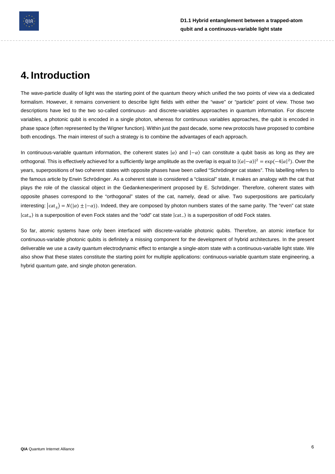

## <span id="page-5-0"></span>**4. Introduction**

The wave-particle duality of light was the starting point of the quantum theory which unified the two points of view via a dedicated formalism. However, it remains convenient to describe light fields with either the "wave" or "particle" point of view. Those two descriptions have led to the two so-called continuous- and discrete-variables approaches in quantum information. For discrete variables, a photonic qubit is encoded in a single photon, whereas for continuous variables approaches, the qubit is encoded in phase space (often represented by the Wigner function). Within just the past decade, some new protocols have proposed to combine both encodings. The main interest of such a strategy is to combine the advantages of each approach.

In continuous-variable quantum information, the coherent states  $|\alpha\rangle$  and  $|-\alpha\rangle$  can constitute a qubit basis as long as they are orthogonal. This is effectively achieved for a sufficiently large amplitude as the overlap is equal to  $|(\alpha|-\alpha)|^2 = \exp(-4|\alpha|^2)$ . Over the years, superpositions of two coherent states with opposite phases have been called "Schrödinger cat states". This labelling refers to the famous article by Erwin Schrödinger. As a coherent state is considered a "classical" state, it makes an analogy with the cat that plays the role of the classical object in the Gedankenexperiment proposed by E. Schrödinger. Therefore, coherent states with opposite phases correspond to the "orthogonal" states of the cat, namely, dead or alive. Two superpositions are particularly interesting:  $|cat_{+}\rangle = N(|\alpha\rangle \pm |-\alpha\rangle)$ . Indeed, they are composed by photon numbers states of the same parity. The "even" cat state |cat+⟩ is a superposition of even Fock states and the "odd" cat state |cat−⟩ is a superposition of odd Fock states.

So far, atomic systems have only been interfaced with discrete-variable photonic qubits. Therefore, an atomic interface for continuous-variable photonic qubits is definitely a missing component for the development of hybrid architectures. In the present deliverable we use a cavity quantum electrodynamic effect to entangle a single-atom state with a continuous-variable light state. We also show that these states constitute the starting point for multiple applications: continuous-variable quantum state engineering, a hybrid quantum gate, and single photon generation.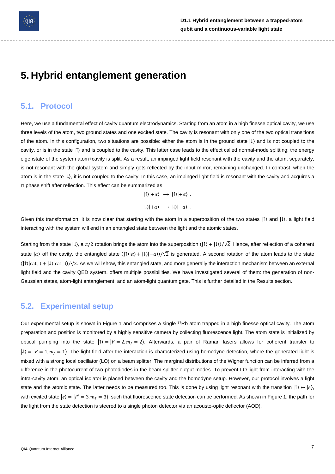

## <span id="page-6-0"></span>**5. Hybrid entanglement generation**

#### <span id="page-6-1"></span>**5.1. Protocol**

Here, we use a fundamental effect of cavity quantum electrodynamics. Starting from an atom in a high finesse optical cavity, we use three levels of the atom, two ground states and one excited state. The cavity is resonant with only one of the two optical transitions of the atom. In this configuration, two situations are possible: either the atom is in the ground state |↓⟩ and is not coupled to the cavity, or is in the state |↑⟩ and is coupled to the cavity. This latter case leads to the effect called normal-mode splitting; the energy eigenstate of the system atom+cavity is split. As a result, an impinged light field resonant with the cavity and the atom, separately, is not resonant with the global system and simply gets reflected by the input mirror, remaining unchanged. In contrast, when the atom is in the state |↓⟩, it is not coupled to the cavity. In this case, an impinged light field is resonant with the cavity and acquires a π phase shift after reflection. This effect can be summarized as

> $|\uparrow\rangle|+\alpha\rangle \rightarrow |\uparrow\rangle|+\alpha\rangle$ ,  $|\downarrow\rangle|+\alpha\rangle \rightarrow |\downarrow\rangle|-\alpha\rangle$ .

Given this transformation, it is now clear that starting with the atom in a superposition of the two states  $|\uparrow\rangle$  and  $|\downarrow\rangle$ , a light field interacting with the system will end in an entangled state between the light and the atomic states.

Starting from the state  $|\downarrow\rangle$ , a  $\pi/2$  rotation brings the atom into the superposition  $(|\uparrow\rangle + |\downarrow\rangle)/\sqrt{2}$ . Hence, after reflection of a coherent state  $|\alpha\rangle$  off the cavity, the entangled state  $(|\uparrow\rangle|\alpha\rangle + |\downarrow\rangle|\alpha\rangle)/\sqrt{2}$  is generated. A second rotation of the atom leads to the state  $(|\uparrow\rangle|cat_{+}\rangle + |\downarrow\rangle|cat_{-}\rangle/\sqrt{2}$ . As we will show, this entangled state, and more generally the interaction mechanism between an external light field and the cavity QED system, offers multiple possibilities. We have investigated several of them: the generation of non-Gaussian states, atom-light entanglement, and an atom-light quantum gate. This is further detailed in the Results section.

#### <span id="page-6-2"></span>**5.2. Experimental setup**

Our experimental setup is shown in Figure 1 and comprises a single <sup>87</sup>Rb atom trapped in a high finesse optical cavity. The atom preparation and position is monitored by a highly sensitive camera by collecting fluorescence light. The atom state is initialized by optical pumping into the state  $|\uparrow\rangle = |F = 2, m_f = 2\rangle$ . Afterwards, a pair of Raman lasers allows for coherent transfer to  $|\downarrow\rangle = |F = 1, m_f = 1\rangle$ . The light field after the interaction is characterized using homodyne detection, where the generated light is mixed with a strong local oscillator (LO) on a beam splitter. The marginal distributions of the Wigner function can be inferred from a difference in the photocurrent of two photodiodes in the beam splitter output modes. To prevent LO light from interacting with the intra-cavity atom, an optical isolator is placed between the cavity and the homodyne setup. However, our protocol involves a light state and the atomic state. The latter needs to be measured too. This is done by using light resonant with the transition  $|\uparrow\rangle \leftrightarrow |e\rangle$ , with excited state  $|e\rangle = |F' = 3, m_f = 3\rangle$ , such that fluorescence state detection can be performed. As shown in Figure 1, the path for the light from the state detection is steered to a single photon detector via an acousto-optic deflector (AOD).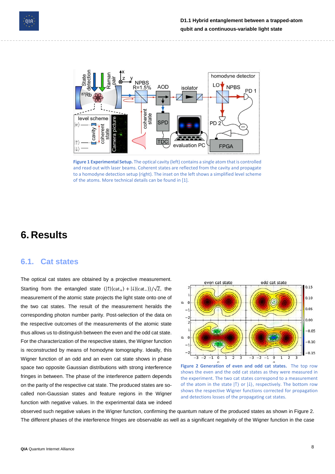



**Figure 1 Experimental Setup.** The optical cavity (left) contains a single atom that is controlled and read out with laser beams. Coherent states are reflected from the cavity and propagate to a homodyne detection setup (right). The inset on the left shows a simplified level scheme of the atoms. More technical details can be found in [1].

### <span id="page-7-0"></span>**6. Results**

#### <span id="page-7-1"></span>**6.1. Cat states**

The optical cat states are obtained by a projective measurement. Starting from the entangled state  $(|\uparrow\rangle| \text{cat}_{+}\rangle + |\downarrow\rangle| \text{cat}_{-}\rangle)/\sqrt{2}$ , the measurement of the atomic state projects the light state onto one of the two cat states. The result of the measurement heralds the corresponding photon number parity. Post-selection of the data on the respective outcomes of the measurements of the atomic state thus allows us to distinguish between the even and the odd cat state. For the characterization of the respective states, the Wigner function is reconstructed by means of homodyne tomography. Ideally, this Wigner function of an odd and an even cat state shows in phase space two opposite Gaussian distributions with strong interference fringes in between. The phase of the interference pattern depends on the parity of the respective cat state. The produced states are socalled non-Gaussian states and feature regions in the Wigner function with negative values. In the experimental data we indeed



**Figure 2 Generation of even and odd cat states.** The top row shows the even and the odd cat states as they were measured in the experiment. The two cat states correspond to a measurement of the atom in the state  $| \uparrow \rangle$  or  $| \downarrow \rangle$ , respectively. The bottom row shows the respective Wigner functions corrected for propagation and detections losses of the propagating cat states.

observed such negative values in the Wigner function, confirming the quantum nature of the produced states as shown in Figure 2. The different phases of the interference fringes are observable as well as a significant negativity of the Wigner function in the case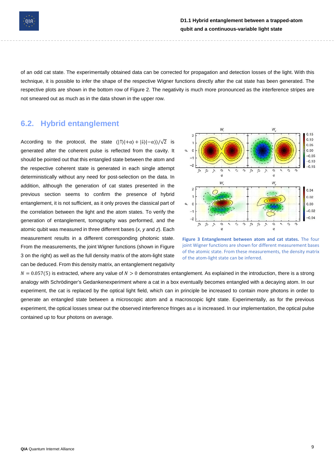

of an odd cat state. The experimentally obtained data can be corrected for propagation and detection losses of the light. With this technique, it is possible to infer the shape of the respective Wigner functions directly after the cat state has been generated. The respective plots are shown in the bottom row of Figure 2. The negativity is much more pronounced as the interference stripes are not smeared out as much as in the data shown in the upper row.

#### <span id="page-8-0"></span>**6.2. Hybrid entanglement**

According to the protocol, the state  $(|\uparrow\rangle|+\alpha\rangle+|\downarrow\rangle|-\alpha\rangle)/\sqrt{2}$  is generated after the coherent pulse is reflected from the cavity. It should be pointed out that this entangled state between the atom and the respective coherent state is generated in each single attempt deterministically without any need for post-selection on the data. In addition, although the generation of cat states presented in the previous section seems to confirm the presence of hybrid entanglement, it is not sufficient, as it only proves the classical part of the correlation between the light and the atom states. To verify the generation of entanglement, tomography was performed, and the atomic qubit was measured in three different bases (*x*, *y* and *z*). Each measurement results in a different corresponding photonic state. From the measurements, the joint Wigner functions (shown in Figure 3 on the right) as well as the full density matrix of the atom-light state can be deduced. From this density matrix, an entanglement negativity



**Figure 3 Entanglement between atom and cat states.** The four joint Wigner functions are shown for different measurement bases of the atomic state. From these measurements, the density matrix of the atom-light state can be inferred.

 $N = 0.057(5)$  is extracted, where any value of  $N > 0$  demonstrates entanglement. As explained in the introduction, there is a strong analogy with Schrödinger's Gedankenexperiment where a cat in a box eventually becomes entangled with a decaying atom. In our experiment, the cat is replaced by the optical light field, which can in principle be increased to contain more photons in order to generate an entangled state between a microscopic atom and a macroscopic light state. Experimentally, as for the previous experiment, the optical losses smear out the observed interference fringes as  $\alpha$  is increased. In our implementation, the optical pulse contained up to four photons on average.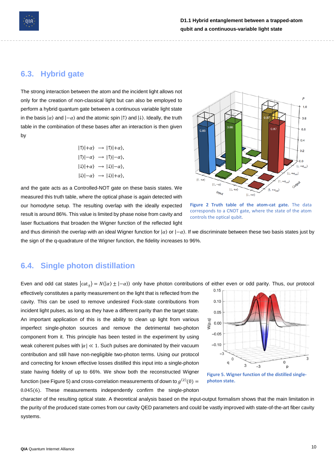

#### <span id="page-9-0"></span>**6.3. Hybrid gate**

The strong interaction between the atom and the incident light allows not only for the creation of non-classical light but can also be employed to perform a hybrid quantum gate between a continuous variable light state in the basis  $|\alpha\rangle$  and  $|-\alpha\rangle$  and the atomic spin  $| \uparrow \rangle$  and  $| \downarrow \rangle$ . Ideally, the truth table in the combination of these bases after an interaction is then given by

$$
|1\rangle|+\alpha\rangle \rightarrow |1\rangle|+\alpha\rangle,
$$
  

$$
|1\rangle|-\alpha\rangle \rightarrow |1\rangle|-\alpha\rangle,
$$
  

$$
|1\rangle|+\alpha\rangle \rightarrow |1\rangle|-\alpha\rangle,
$$
  

$$
|1\rangle|-\alpha\rangle \rightarrow |1\rangle|+\alpha\rangle,
$$

and the gate acts as a Controlled-NOT gate on these basis states. We measured this truth table, where the optical phase is again detected with our homodyne setup. The resulting overlap with the ideally expected result is around 86%. This value is limited by phase noise from cavity and laser fluctuations that broaden the Wigner function of the reflected light



**Figure 2 Truth table of the atom-cat gate.** The data corresponds to a CNOT gate, where the state of the atom controls the optical qubit.

and thus diminish the overlap with an ideal Wigner function for  $\vert \alpha \rangle$  or  $\vert -\alpha \rangle$ . If we discriminate between these two basis states just by the sign of the q-quadrature of the Wigner function, the fidelity increases to 96%.

#### <span id="page-9-1"></span>**6.4. Single photon distillation**

Even and odd cat states  $|cat_{\pm}\rangle = N(|\alpha\rangle \pm |-\alpha\rangle)$  only have photon contributions of either even or odd parity. Thus, our protocol

effectively constitutes a parity measurement on the light that is reflected from the cavity. This can be used to remove undesired Fock-state contributions from incident light pulses, as long as they have a different parity than the target state. An important application of this is the ability to clean up light from various imperfect single-photon sources and remove the detrimental two-photon component from it. This principle has been tested in the experiment by using weak coherent pulses with  $|\alpha| \ll 1$ . Such pulses are dominated by their vacuum contribution and still have non-negligible two-photon terms. Using our protocol and correcting for known effective losses distilled this input into a single-photon state having fidelity of up to 66%. We show both the reconstructed Wigner function (see Figure 5) and cross-correlation measurements of down to  $g^{(2)}(0)$  = 0.045(6). These measurements independently confirm the single-photon



**Figure 5. Wigner function of the distilled singlephoton state.**

character of the resulting optical state. A theoretical analysis based on the input-output formalism shows that the main limitation in the purity of the produced state comes from our cavity QED parameters and could be vastly improved with state-of-the-art fiber cavity systems.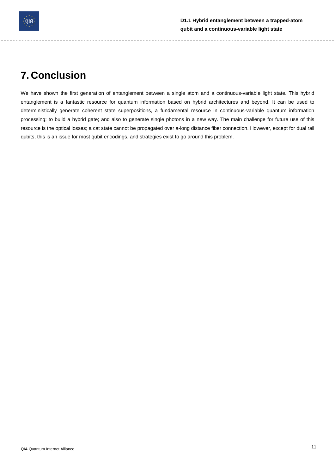

## <span id="page-10-0"></span>**7. Conclusion**

We have shown the first generation of entanglement between a single atom and a continuous-variable light state. This hybrid entanglement is a fantastic resource for quantum information based on hybrid architectures and beyond. It can be used to deterministically generate coherent state superpositions, a fundamental resource in continuous-variable quantum information processing; to build a hybrid gate; and also to generate single photons in a new way. The main challenge for future use of this resource is the optical losses; a cat state cannot be propagated over a-long distance fiber connection. However, except for dual rail qubits, this is an issue for most qubit encodings, and strategies exist to go around this problem.